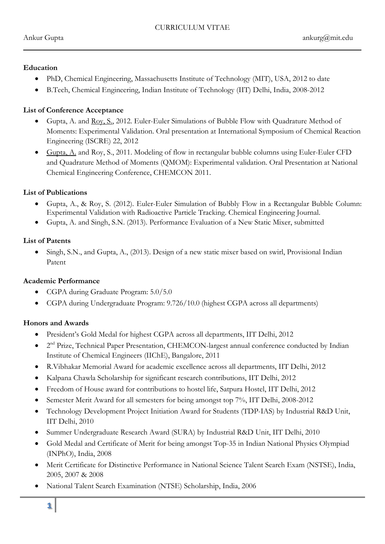#### **Education**

- PhD, Chemical Engineering, Massachusetts Institute of Technology (MIT), USA, 2012 to date
- B.Tech, Chemical Engineering, Indian Institute of Technology (IIT) Delhi, India, 2008-2012

## **List of Conference Acceptance**

- Gupta, A. and Roy, S., 2012. Euler-Euler Simulations of Bubble Flow with Quadrature Method of Moments: Experimental Validation. Oral presentation at International Symposium of Chemical Reaction Engineering (ISCRE) 22, 2012
- Gupta, A. and Roy, S., 2011. Modeling of flow in rectangular bubble columns using Euler-Euler CFD and Quadrature Method of Moments (QMOM): Experimental validation. Oral Presentation at National Chemical Engineering Conference, CHEMCON 2011.

## **List of Publications**

- Gupta, A., & Roy, S. (2012). Euler-Euler Simulation of Bubbly Flow in a Rectangular Bubble Column: Experimental Validation with Radioactive Particle Tracking. Chemical Engineering Journal.
- Gupta, A. and Singh, S.N. (2013). Performance Evaluation of a New Static Mixer, submitted

## **List of Patents**

• Singh, S.N., and Gupta, A., (2013). Design of a new static mixer based on swirl, Provisional Indian Patent

## **Academic Performance**

- CGPA during Graduate Program:  $5.0/5.0$
- CGPA during Undergraduate Program: 9.726/10.0 (highest CGPA across all departments)

## **Honors and Awards**

- President's Gold Medal for highest CGPA across all departments, IIT Delhi, 2012
- $2<sup>nd</sup> Prize, Technical Paper Presentation, CHEMCON-largest annual conference conducted by Indian$ Institute of Chemical Engineers (IIChE), Bangalore, 2011
- R.Vibhakar Memorial Award for academic excellence across all departments, IIT Delhi, 2012
- Kalpana Chawla Scholarship for significant research contributions, IIT Delhi, 2012
- Freedom of House award for contributions to hostel life, Satpura Hostel, IIT Delhi, 2012
- Semester Merit Award for all semesters for being amongst top 7%, IIT Delhi, 2008-2012
- Technology Development Project Initiation Award for Students (TDP-IAS) by Industrial R&D Unit, IIT Delhi, 2010
- Summer Undergraduate Research Award (SURA) by Industrial R&D Unit, IIT Delhi, 2010
- Gold Medal and Certificate of Merit for being amongst Top-35 in Indian National Physics Olympiad (INPhO), India, 2008
- Merit Certificate for Distinctive Performance in National Science Talent Search Exam (NSTSE), India, 2005, 2007 & 2008
- National Talent Search Examination (NTSE) Scholarship, India, 2006